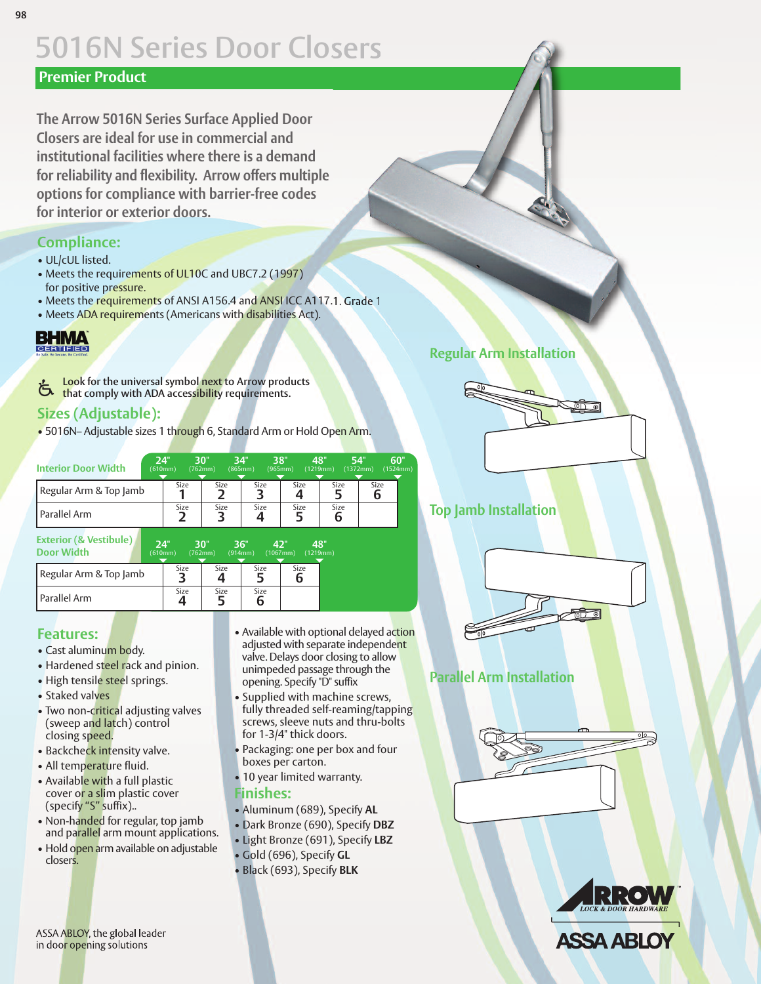# **5016N Series Door Closers**

#### **Premier Product**

**The Arrow 5016N Series Surface Applied Door Closers are ideal for use in commercial and institutional facilities where there is a demand for reliability and flexibility. Arrow offers multiple options for compliance with barrier-free codes for interior or exterior doors.**

#### **Compliance:**

- UL/cUL listed.
- Meets the requirements of UL10C and UBC7.2 (1997) for positive pressure.
- Meets the requirements of ANSI A156.4 and ANSI ICC A117.1. Grade 1
- Meets ADA requirements (Americans with disabilities Act).

# **BHMA**

**Look for the universal symbol next to Arrow products that** comply with ADA accessibility requirements.<br> **U** that comply with ADA accessibility requirements.

### **Sizes (Adjustable):**

• 5016N– Adjustable sizes 1 through 6, Standard Arm or Hold Open Arm.

| <b>Interior Door Width</b> | 24"<br>(610mm) |      | 30"<br>(762mm) | 34"<br>(865mm) | 38"<br>(965mm) | 48"<br>(1219mm) | 54"<br>(1372mm) | 60"<br>(1524mm) |
|----------------------------|----------------|------|----------------|----------------|----------------|-----------------|-----------------|-----------------|
| Regular Arm & Top Jamb     |                | Size | Size           | Size           | Size           | Size            | Size            |                 |
| l Parallel Arm             |                | Size | Size           | Size           | Size           | Size<br>b       |                 |                 |

**Exterior (& Vestibule) Door Width 24" 30" 36" 42" 48"** (610mm) (762mm) (914mm) (1067mm) (1219mm)

| Regular Arm & Top Jamb | Size | Size | Size | Size |
|------------------------|------|------|------|------|
| Parallel Arm           | Size | Size | Size |      |

#### **Features:**

- Cast aluminum body.
- Hardened steel rack and pinion.
- High tensile steel springs.
- Staked valves
- Two non-critical adjusting valves (sweep and latch) control closing speed.
- Backcheck intensity valve.
- All temperature fluid.
- Available with a full plastic cover or a slim plastic cover (specify "S" suffix)..
- Non-handed for regular, top jamb and parallel arm mount applications.
- Hold open arm available on adjustable closers.
- Available with optional delayed action adjusted with separate independent valve. Delays door closing to allow unimpeded passage through the opening. Specify "D" suffix
- Supplied with machine screws, fully threaded self-reaming/tapping screws, sleeve nuts and thru-bolts for 1-3/4" thick doors.
- Packaging: one per box and four boxes per carton.
- 10 year limited warranty.

#### **Finishes:**

- Aluminum (689), Specify **AL**
- Dark Bronze (690), Specify **DBZ**
- Light Bronze (691), Specify **LBZ**
- Gold (696), Specify **GL**
- Black (693), Specify **BLK**

# **Regular Arm Installation**



#### **Top Jamb Installation**



## **Parallel Arm Installation**





**ASSA ABLOY**